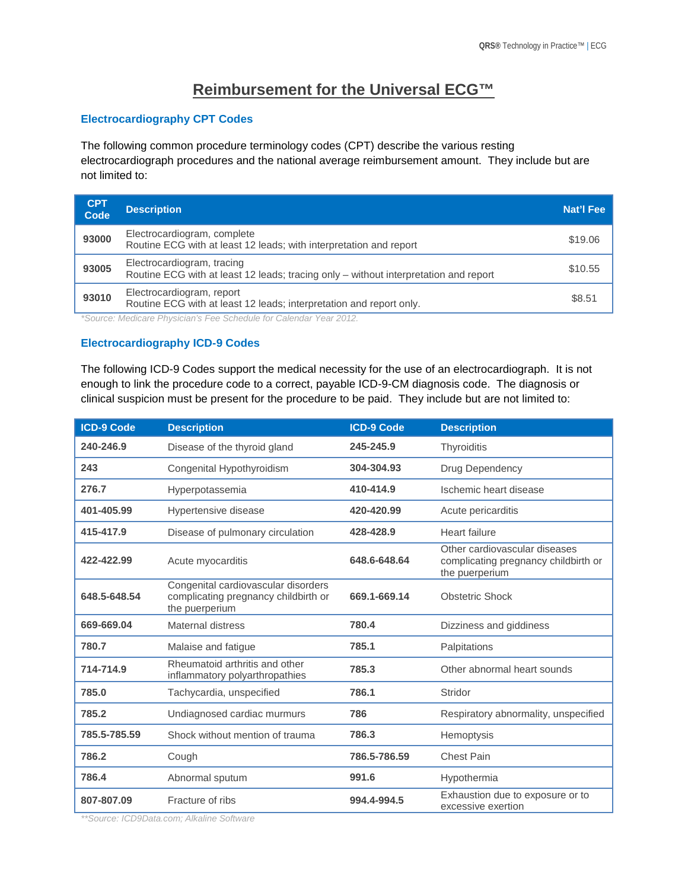# **Reimbursement for the Universal ECG™**

## **Electrocardiography CPT Codes**

The following common procedure terminology codes (CPT) describe the various resting electrocardiograph procedures and the national average reimbursement amount. They include but are not limited to:

| <b>CPT</b><br>Code | <b>Description</b>                                                                                                 | Nat'l Fee |
|--------------------|--------------------------------------------------------------------------------------------------------------------|-----------|
| 93000              | Electrocardiogram, complete<br>Routine ECG with at least 12 leads; with interpretation and report                  | \$19.06   |
| 93005              | Electrocardiogram, tracing<br>Routine ECG with at least 12 leads; tracing only – without interpretation and report | \$10.55   |
| 93010              | Electrocardiogram, report<br>Routine ECG with at least 12 leads; interpretation and report only.                   | \$8.51    |

*\*Source: Medicare Physician's Fee Schedule for Calendar Year 2012.*

## **Electrocardiography ICD-9 Codes**

The following ICD-9 Codes support the medical necessity for the use of an electrocardiograph. It is not enough to link the procedure code to a correct, payable ICD-9-CM diagnosis code. The diagnosis or clinical suspicion must be present for the procedure to be paid. They include but are not limited to:

| <b>ICD-9 Code</b> | <b>Description</b>                                                                            | <b>ICD-9 Code</b> | <b>Description</b>                                                                      |
|-------------------|-----------------------------------------------------------------------------------------------|-------------------|-----------------------------------------------------------------------------------------|
| 240-246.9         | Disease of the thyroid gland                                                                  | 245-245.9         | Thyroiditis                                                                             |
| 243               | Congenital Hypothyroidism                                                                     | 304-304.93        | Drug Dependency                                                                         |
| 276.7             | Hyperpotassemia                                                                               | 410-414.9         | Ischemic heart disease                                                                  |
| 401-405.99        | Hypertensive disease                                                                          | 420-420.99        | Acute pericarditis                                                                      |
| 415-417.9         | Disease of pulmonary circulation                                                              | 428-428.9         | <b>Heart failure</b>                                                                    |
| 422-422.99        | Acute myocarditis                                                                             | 648.6-648.64      | Other cardiovascular diseases<br>complicating pregnancy childbirth or<br>the puerperium |
| 648.5-648.54      | Congenital cardiovascular disorders<br>complicating pregnancy childbirth or<br>the puerperium | 669.1-669.14      | <b>Obstetric Shock</b>                                                                  |
| 669-669.04        | Maternal distress                                                                             | 780.4             | Dizziness and giddiness                                                                 |
| 780.7             | Malaise and fatigue                                                                           | 785.1             | Palpitations                                                                            |
| 714-714.9         | Rheumatoid arthritis and other<br>inflammatory polyarthropathies                              | 785.3             | Other abnormal heart sounds                                                             |
| 785.0             | Tachycardia, unspecified                                                                      | 786.1             | Stridor                                                                                 |
| 785.2             | Undiagnosed cardiac murmurs                                                                   | 786               | Respiratory abnormality, unspecified                                                    |
| 785.5-785.59      | Shock without mention of trauma                                                               | 786.3             | Hemoptysis                                                                              |
| 786.2             | Cough                                                                                         | 786.5-786.59      | <b>Chest Pain</b>                                                                       |
| 786.4             | Abnormal sputum                                                                               | 991.6             | Hypothermia                                                                             |
| 807-807.09        | Fracture of ribs                                                                              | 994.4-994.5       | Exhaustion due to exposure or to<br>excessive exertion                                  |

*\*\*Source: ICD9Data.com; Alkaline Software*